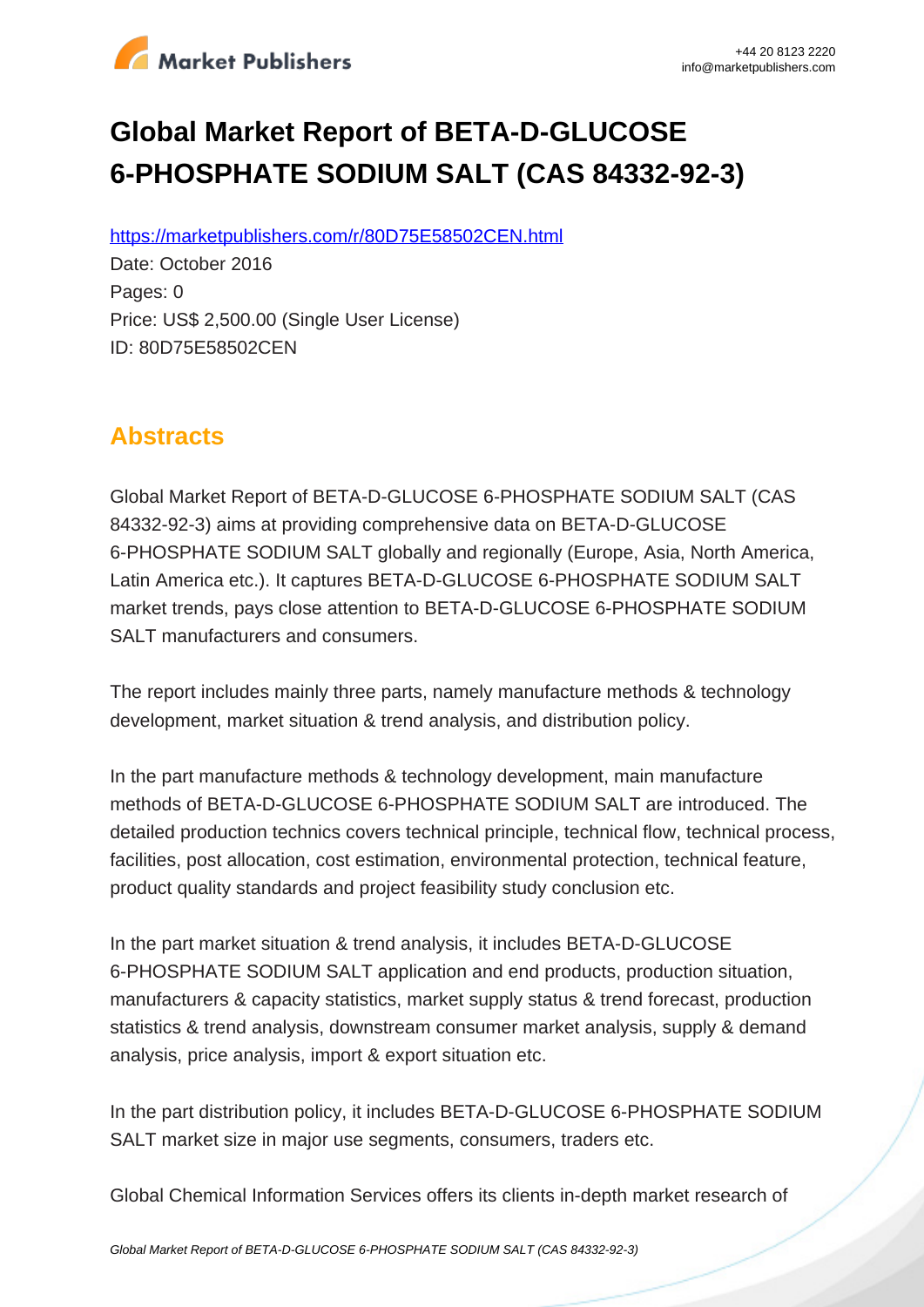

# **Global Market Report of BETA-D-GLUCOSE 6-PHOSPHATE SODIUM SALT (CAS 84332-92-3)**

https://marketpublishers.com/r/80D75E58502CEN.html

Date: October 2016 Pages: 0 Price: US\$ 2,500.00 (Single User License) ID: 80D75E58502CEN

# **Abstracts**

Global Market Report of BETA-D-GLUCOSE 6-PHOSPHATE SODIUM SALT (CAS 84332-92-3) aims at providing comprehensive data on BETA-D-GLUCOSE 6-PHOSPHATE SODIUM SALT globally and regionally (Europe, Asia, North America, Latin America etc.). It captures BETA-D-GLUCOSE 6-PHOSPHATE SODIUM SALT market trends, pays close attention to BETA-D-GLUCOSE 6-PHOSPHATE SODIUM SALT manufacturers and consumers.

The report includes mainly three parts, namely manufacture methods & technology development, market situation & trend analysis, and distribution policy.

In the part manufacture methods & technology development, main manufacture methods of BETA-D-GLUCOSE 6-PHOSPHATE SODIUM SALT are introduced. The detailed production technics covers technical principle, technical flow, technical process, facilities, post allocation, cost estimation, environmental protection, technical feature, product quality standards and project feasibility study conclusion etc.

In the part market situation & trend analysis, it includes BETA-D-GLUCOSE 6-PHOSPHATE SODIUM SALT application and end products, production situation, manufacturers & capacity statistics, market supply status & trend forecast, production statistics & trend analysis, downstream consumer market analysis, supply & demand analysis, price analysis, import & export situation etc.

In the part distribution policy, it includes BETA-D-GLUCOSE 6-PHOSPHATE SODIUM SALT market size in major use segments, consumers, traders etc.

Global Chemical Information Services offers its clients in-depth market research of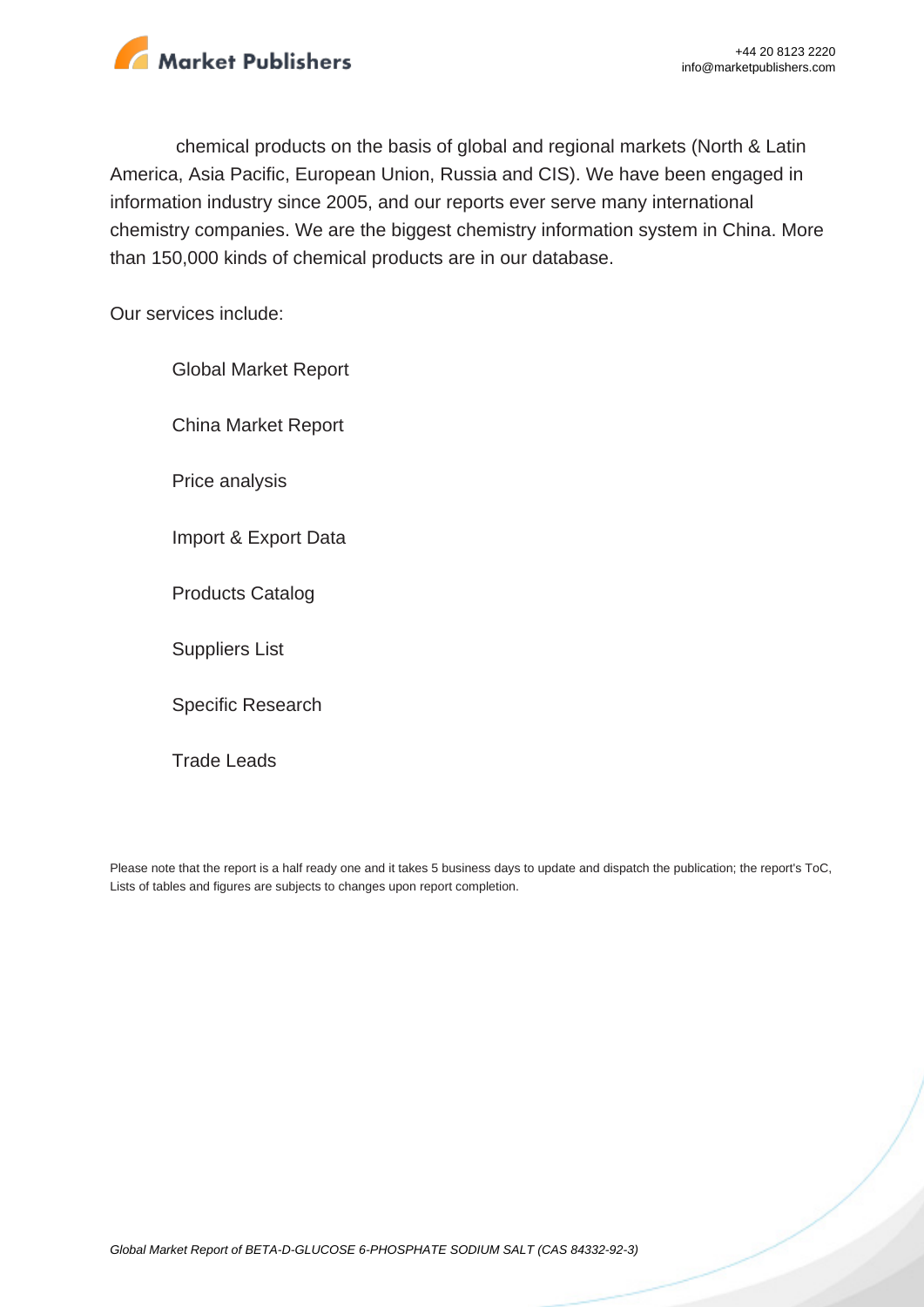

chemical products on the basis of global and regional markets (North & Latin America, Asia Pacific, European Union, Russia and CIS). We have been engaged in information industry since 2005, and our reports ever serve many international chemistry companies. We are the biggest chemistry information system in China. More than 150,000 kinds of chemical products are in our database.

Our services include:

Global Market Report China Market Report Price analysis Import & Export Data Products Catalog Suppliers List Specific Research

Trade Leads

Please note that the report is a half ready one and it takes 5 business days to update and dispatch the publication; the report's ToC, Lists of tables and figures are subjects to changes upon report completion.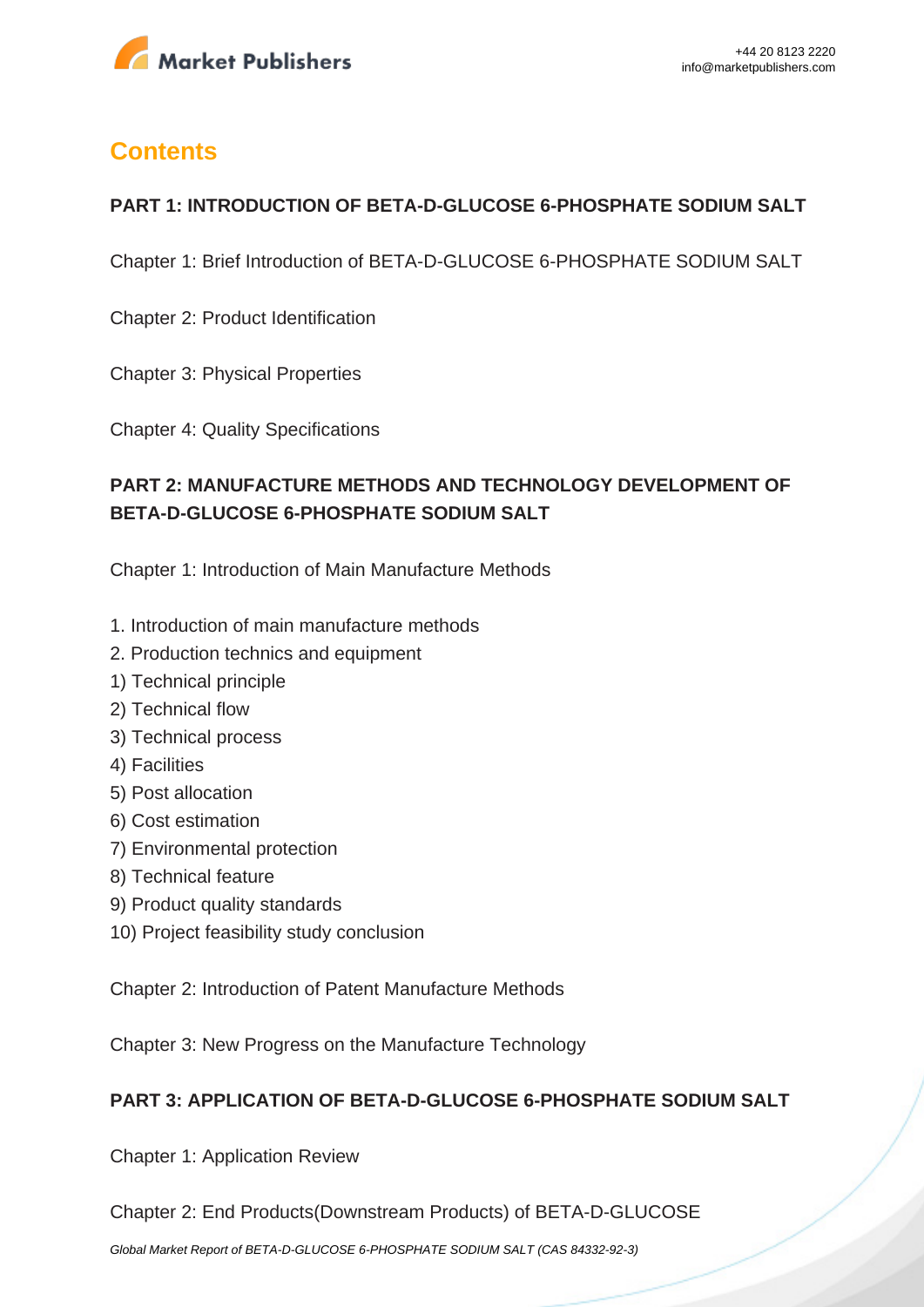

# **Contents**

## **PART 1: INTRODUCTION OF BETA-D-GLUCOSE 6-PHOSPHATE SODIUM SALT**

Chapter 1: Brief Introduction of BETA-D-GLUCOSE 6-PHOSPHATE SODIUM SALT

Chapter 2: Product Identification

Chapter 3: Physical Properties

Chapter 4: Quality Specifications

# **PART 2: MANUFACTURE METHODS AND TECHNOLOGY DEVELOPMENT OF BETA-D-GLUCOSE 6-PHOSPHATE SODIUM SALT**

Chapter 1: Introduction of Main Manufacture Methods

- 1. Introduction of main manufacture methods
- 2. Production technics and equipment
- 1) Technical principle
- 2) Technical flow
- 3) Technical process
- 4) Facilities
- 5) Post allocation
- 6) Cost estimation
- 7) Environmental protection
- 8) Technical feature
- 9) Product quality standards
- 10) Project feasibility study conclusion

Chapter 2: Introduction of Patent Manufacture Methods

Chapter 3: New Progress on the Manufacture Technology

#### **PART 3: APPLICATION OF BETA-D-GLUCOSE 6-PHOSPHATE SODIUM SALT**

Chapter 1: Application Review

Chapter 2: End Products(Downstream Products) of BETA-D-GLUCOSE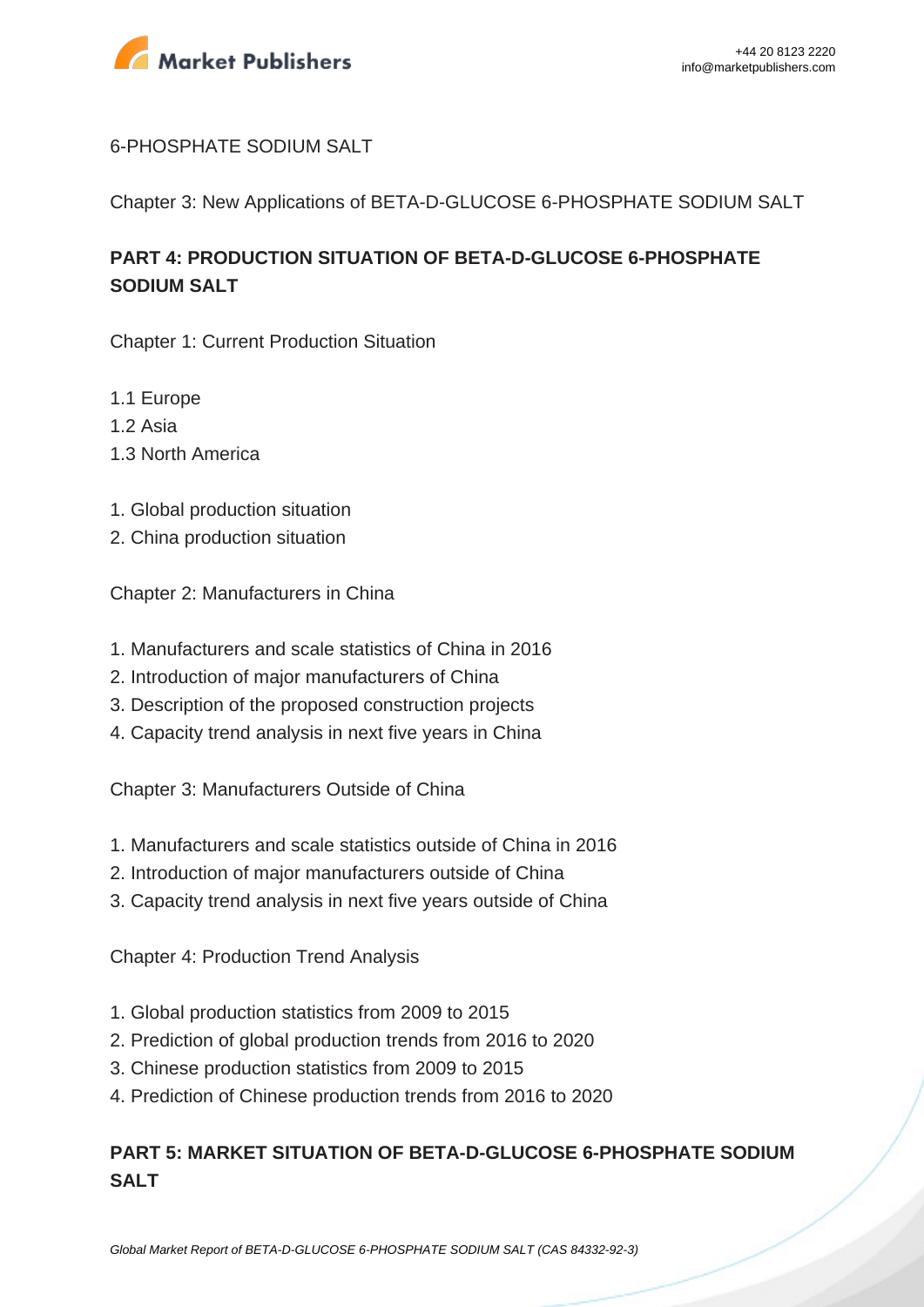

#### 6-PHOSPHATE SODIUM SALT

Chapter 3: New Applications of BETA-D-GLUCOSE 6-PHOSPHATE SODIUM SALT

# **PART 4: PRODUCTION SITUATION OF BETA-D-GLUCOSE 6-PHOSPHATE SODIUM SALT**

Chapter 1: Current Production Situation

- 1.1 Europe
- 1.2 Asia
- 1.3 North America
- 1. Global production situation
- 2. China production situation

Chapter 2: Manufacturers in China

- 1. Manufacturers and scale statistics of China in 2016
- 2. Introduction of major manufacturers of China
- 3. Description of the proposed construction projects
- 4. Capacity trend analysis in next five years in China

Chapter 3: Manufacturers Outside of China

- 1. Manufacturers and scale statistics outside of China in 2016
- 2. Introduction of major manufacturers outside of China
- 3. Capacity trend analysis in next five years outside of China

Chapter 4: Production Trend Analysis

- 1. Global production statistics from 2009 to 2015
- 2. Prediction of global production trends from 2016 to 2020
- 3. Chinese production statistics from 2009 to 2015
- 4. Prediction of Chinese production trends from 2016 to 2020

## **PART 5: MARKET SITUATION OF BETA-D-GLUCOSE 6-PHOSPHATE SODIUM SALT**

[Global Market Report of BETA-D-GLUCOSE 6-PHOSPHATE SODIUM SALT \(CAS 84332-92-3\)](https://marketpublishers.com/report/cas/84332-92-3-bc591444.html)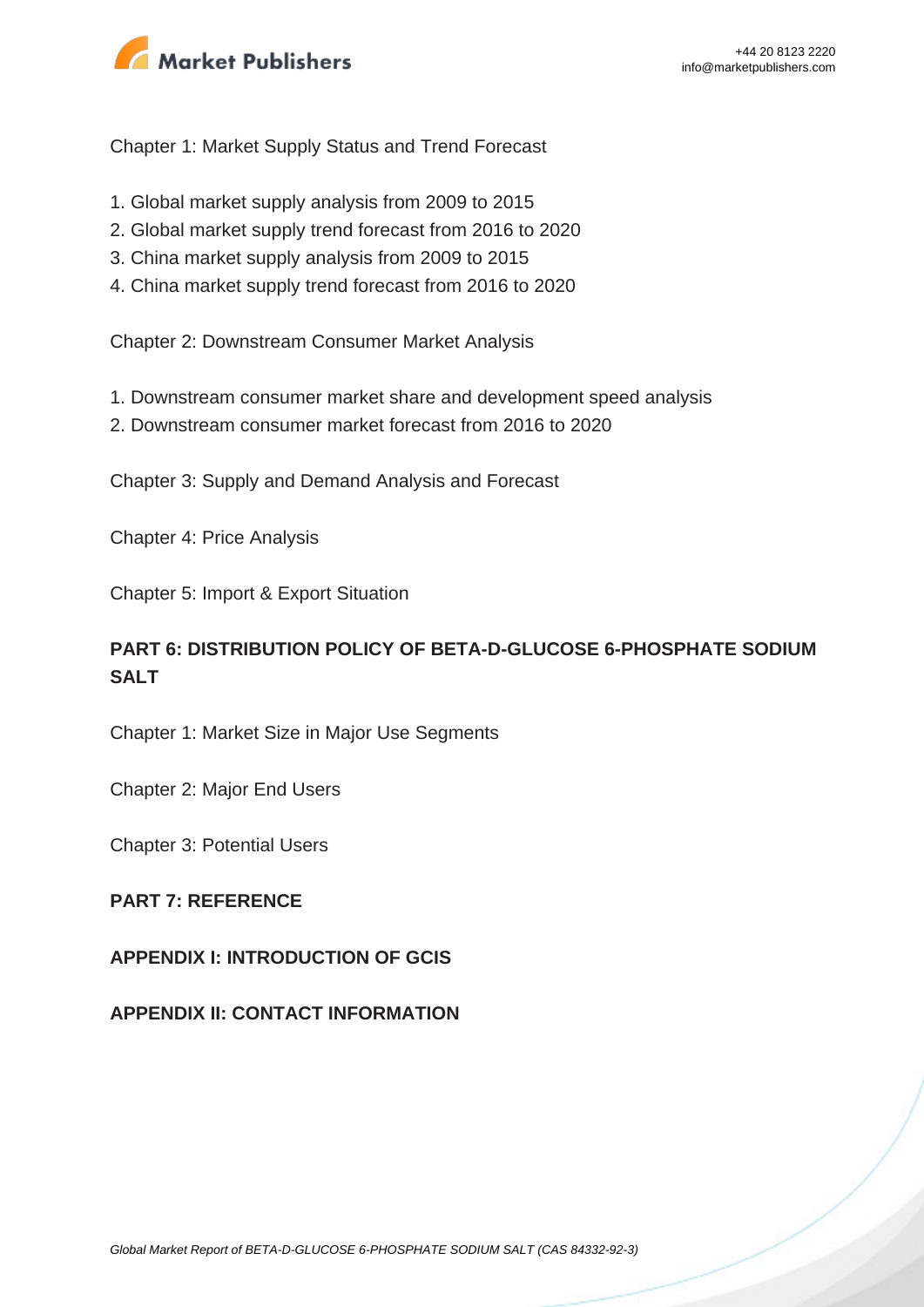

Chapter 1: Market Supply Status and Trend Forecast

- 1. Global market supply analysis from 2009 to 2015
- 2. Global market supply trend forecast from 2016 to 2020
- 3. China market supply analysis from 2009 to 2015
- 4. China market supply trend forecast from 2016 to 2020

Chapter 2: Downstream Consumer Market Analysis

- 1. Downstream consumer market share and development speed analysis
- 2. Downstream consumer market forecast from 2016 to 2020

Chapter 3: Supply and Demand Analysis and Forecast

Chapter 4: Price Analysis

Chapter 5: Import & Export Situation

# **PART 6: DISTRIBUTION POLICY OF BETA-D-GLUCOSE 6-PHOSPHATE SODIUM SALT**

Chapter 1: Market Size in Major Use Segments

Chapter 2: Major End Users

Chapter 3: Potential Users

#### **PART 7: REFERENCE**

#### **APPENDIX I: INTRODUCTION OF GCIS**

**APPENDIX II: CONTACT INFORMATION**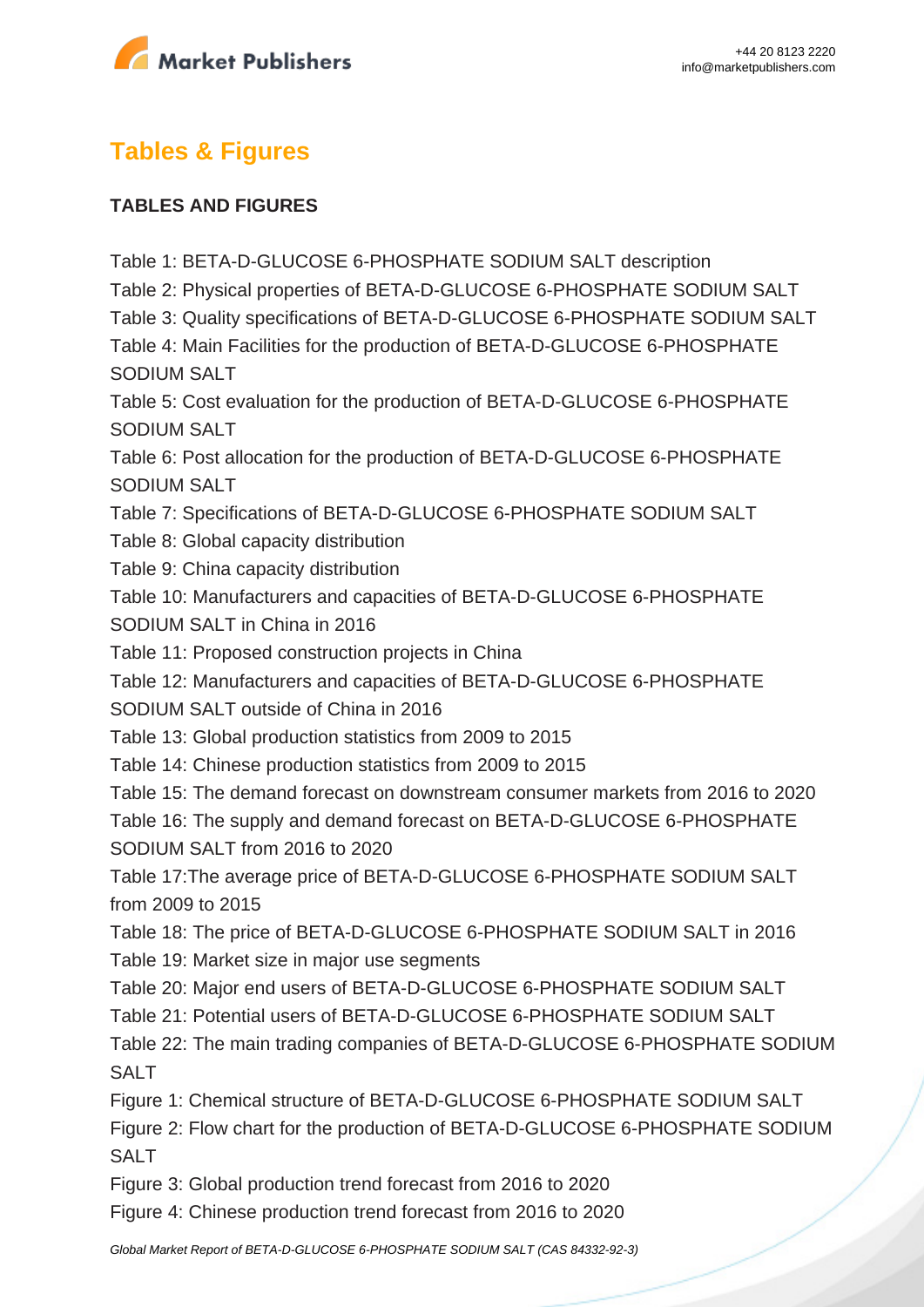

# **Tables & Figures**

#### **TABLES AND FIGURES**

Table 1: BETA-D-GLUCOSE 6-PHOSPHATE SODIUM SALT description Table 2: Physical properties of BETA-D-GLUCOSE 6-PHOSPHATE SODIUM SALT Table 3: Quality specifications of BETA-D-GLUCOSE 6-PHOSPHATE SODIUM SALT Table 4: Main Facilities for the production of BETA-D-GLUCOSE 6-PHOSPHATE SODIUM SALT Table 5: Cost evaluation for the production of BETA-D-GLUCOSE 6-PHOSPHATE SODIUM SALT Table 6: Post allocation for the production of BETA-D-GLUCOSE 6-PHOSPHATE SODIUM SALT Table 7: Specifications of BETA-D-GLUCOSE 6-PHOSPHATE SODIUM SALT Table 8: Global capacity distribution Table 9: China capacity distribution Table 10: Manufacturers and capacities of BETA-D-GLUCOSE 6-PHOSPHATE SODIUM SALT in China in 2016 Table 11: Proposed construction projects in China Table 12: Manufacturers and capacities of BETA-D-GLUCOSE 6-PHOSPHATE SODIUM SALT outside of China in 2016 Table 13: Global production statistics from 2009 to 2015 Table 14: Chinese production statistics from 2009 to 2015 Table 15: The demand forecast on downstream consumer markets from 2016 to 2020 Table 16: The supply and demand forecast on BETA-D-GLUCOSE 6-PHOSPHATE SODIUM SALT from 2016 to 2020 Table 17:The average price of BETA-D-GLUCOSE 6-PHOSPHATE SODIUM SALT from 2009 to 2015 Table 18: The price of BETA-D-GLUCOSE 6-PHOSPHATE SODIUM SALT in 2016 Table 19: Market size in major use segments Table 20: Major end users of BETA-D-GLUCOSE 6-PHOSPHATE SODIUM SALT Table 21: Potential users of BETA-D-GLUCOSE 6-PHOSPHATE SODIUM SALT Table 22: The main trading companies of BETA-D-GLUCOSE 6-PHOSPHATE SODIUM SALT Figure 1: Chemical structure of BETA-D-GLUCOSE 6-PHOSPHATE SODIUM SALT Figure 2: Flow chart for the production of BETA-D-GLUCOSE 6-PHOSPHATE SODIUM SAI<sub>T</sub> Figure 3: Global production trend forecast from 2016 to 2020

Figure 4: Chinese production trend forecast from 2016 to 2020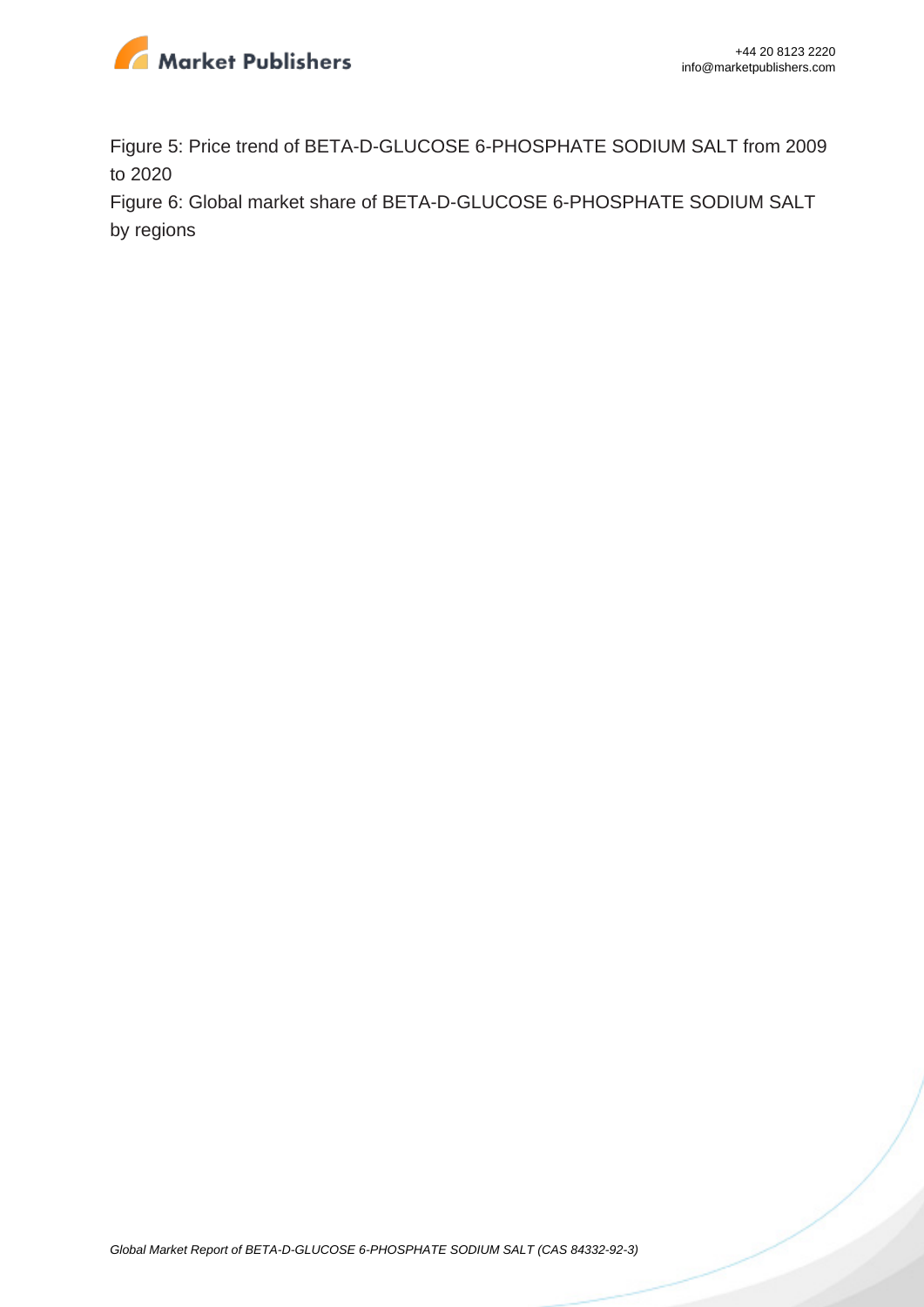

Figure 5: Price trend of BETA-D-GLUCOSE 6-PHOSPHATE SODIUM SALT from 2009 to 2020

Figure 6: Global market share of BETA-D-GLUCOSE 6-PHOSPHATE SODIUM SALT by regions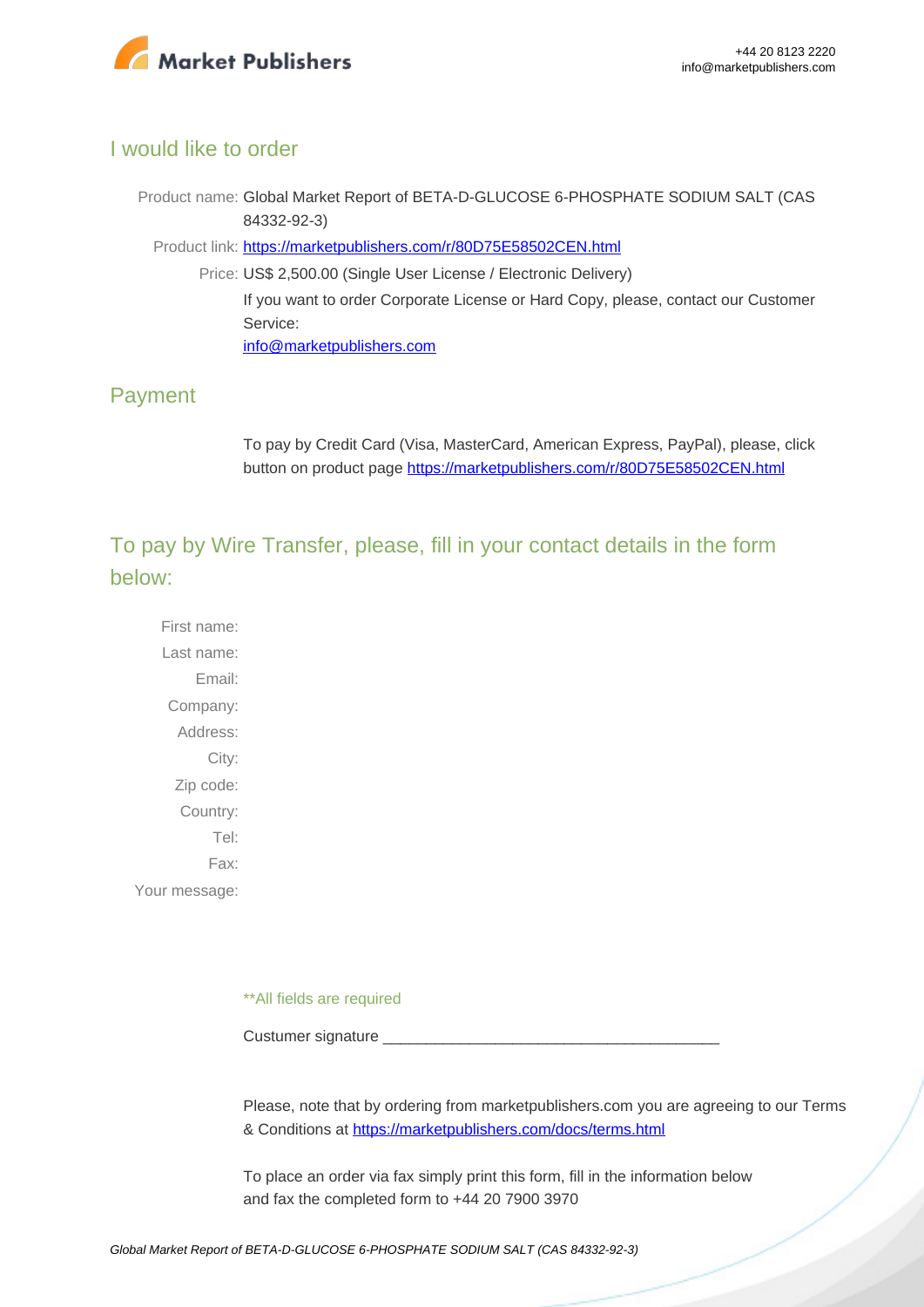

## I would like to order

Product name: Global Market Report of BETA-D-GLUCOSE 6-PHOSPHATE SODIUM SALT (CAS 84332-92-3)

Product link: [https://marketpublishers.com/r/80D75E58502CEN.html](https://marketpublishers.com/report/cas/84332-92-3-bc591444.html)

Price: US\$ 2,500.00 (Single User License / Electronic Delivery) If you want to order Corporate License or Hard Copy, please, contact our Customer Service:

[info@marketpublishers.com](mailto:info@marketpublishers.com)

## Payment

To pay by Credit Card (Visa, MasterCard, American Express, PayPal), please, click button on product page [https://marketpublishers.com/r/80D75E58502CEN.html](https://marketpublishers.com/report/cas/84332-92-3-bc591444.html)

To pay by Wire Transfer, please, fill in your contact details in the form below:

First name: Last name: Email: Company: Address: City: Zip code: Country: Tel: Fax: Your message:

\*\*All fields are required

Custumer signature

Please, note that by ordering from marketpublishers.com you are agreeing to our Terms & Conditions at<https://marketpublishers.com/docs/terms.html>

To place an order via fax simply print this form, fill in the information below and fax the completed form to +44 20 7900 3970